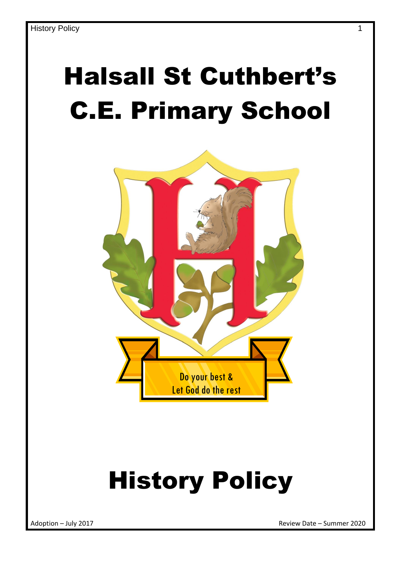## Halsall St Cuthbert's C.E. Primary School



# History Policy

Adoption – July 2017 Review Date – Summer 2020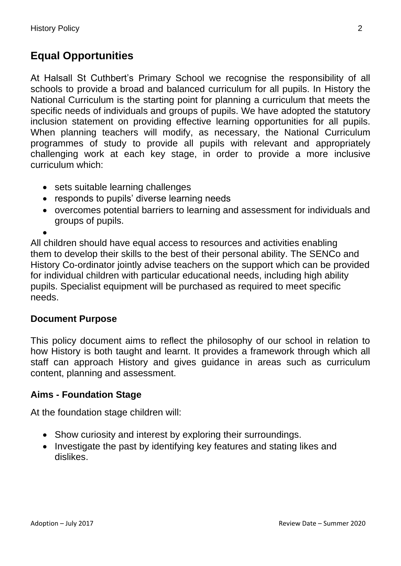## **Equal Opportunities**

At Halsall St Cuthbert's Primary School we recognise the responsibility of all schools to provide a broad and balanced curriculum for all pupils. In History the National Curriculum is the starting point for planning a curriculum that meets the specific needs of individuals and groups of pupils. We have adopted the statutory inclusion statement on providing effective learning opportunities for all pupils. When planning teachers will modify, as necessary, the National Curriculum programmes of study to provide all pupils with relevant and appropriately challenging work at each key stage, in order to provide a more inclusive curriculum which:

- sets suitable learning challenges
- responds to pupils' diverse learning needs
- overcomes potential barriers to learning and assessment for individuals and groups of pupils.

 $\bullet$ 

All children should have equal access to resources and activities enabling them to develop their skills to the best of their personal ability. The SENCo and History Co-ordinator jointly advise teachers on the support which can be provided for individual children with particular educational needs, including high ability pupils. Specialist equipment will be purchased as required to meet specific needs.

## **Document Purpose**

This policy document aims to reflect the philosophy of our school in relation to how History is both taught and learnt. It provides a framework through which all staff can approach History and gives guidance in areas such as curriculum content, planning and assessment.

## **Aims - Foundation Stage**

At the foundation stage children will:

- Show curiosity and interest by exploring their surroundings.
- Investigate the past by identifying key features and stating likes and dislikes.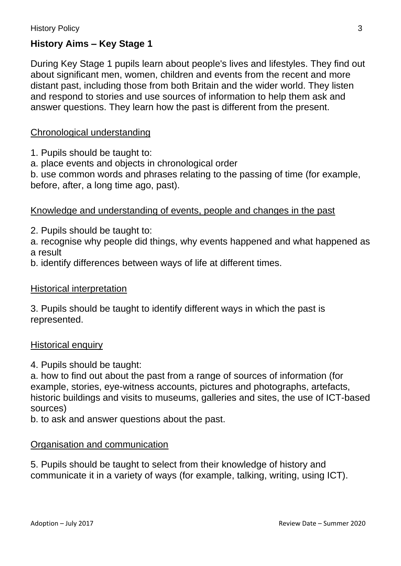## **History Aims – Key Stage 1**

During Key Stage 1 pupils learn about people's lives and lifestyles. They find out about significant men, women, children and events from the recent and more distant past, including those from both Britain and the wider world. They listen and respond to stories and use sources of information to help them ask and answer questions. They learn how the past is different from the present.

#### Chronological understanding

- 1. Pupils should be taught to:
- a. place events and objects in chronological order

b. use common words and phrases relating to the passing of time (for example, before, after, a long time ago, past).

#### Knowledge and understanding of events, people and changes in the past

2. Pupils should be taught to:

a. recognise why people did things, why events happened and what happened as a result

b. identify differences between ways of life at different times.

#### Historical interpretation

3. Pupils should be taught to identify different ways in which the past is represented.

#### Historical enquiry

4. Pupils should be taught:

a. how to find out about the past from a range of sources of information (for example, stories, eye-witness accounts, pictures and photographs, artefacts, historic buildings and visits to museums, galleries and sites, the use of ICT-based sources)

b. to ask and answer questions about the past.

#### Organisation and communication

5. Pupils should be taught to select from their knowledge of history and communicate it in a variety of ways (for example, talking, writing, using ICT).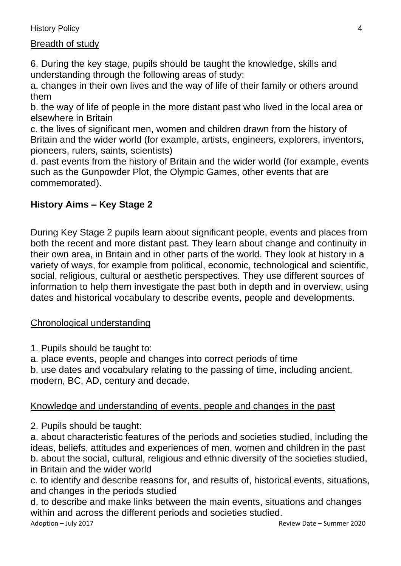## Breadth of study

6. During the key stage, pupils should be taught the knowledge, skills and understanding through the following areas of study:

a. changes in their own lives and the way of life of their family or others around them

b. the way of life of people in the more distant past who lived in the local area or elsewhere in Britain

c. the lives of significant men, women and children drawn from the history of Britain and the wider world (for example, artists, engineers, explorers, inventors, pioneers, rulers, saints, scientists)

d. past events from the history of Britain and the wider world (for example, events such as the Gunpowder Plot, the Olympic Games, other events that are commemorated).

## **History Aims – Key Stage 2**

During Key Stage 2 pupils learn about significant people, events and places from both the recent and more distant past. They learn about change and continuity in their own area, in Britain and in other parts of the world. They look at history in a variety of ways, for example from political, economic, technological and scientific, social, religious, cultural or aesthetic perspectives. They use different sources of information to help them investigate the past both in depth and in overview, using dates and historical vocabulary to describe events, people and developments.

## Chronological understanding

1. Pupils should be taught to:

a. place events, people and changes into correct periods of time

b. use dates and vocabulary relating to the passing of time, including ancient, modern, BC, AD, century and decade.

## Knowledge and understanding of events, people and changes in the past

2. Pupils should be taught:

a. about characteristic features of the periods and societies studied, including the ideas, beliefs, attitudes and experiences of men, women and children in the past b. about the social, cultural, religious and ethnic diversity of the societies studied, in Britain and the wider world

c. to identify and describe reasons for, and results of, historical events, situations, and changes in the periods studied

d. to describe and make links between the main events, situations and changes within and across the different periods and societies studied.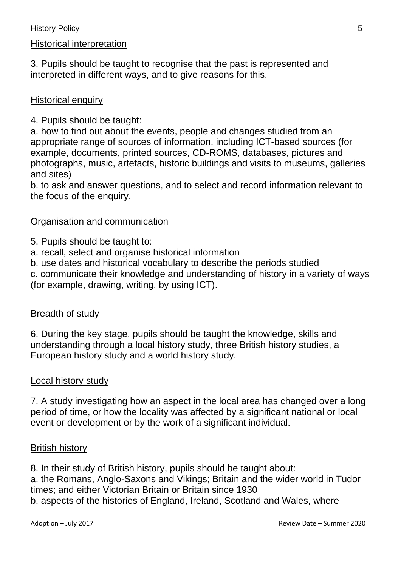## Historical interpretation

3. Pupils should be taught to recognise that the past is represented and interpreted in different ways, and to give reasons for this.

## Historical enquiry

4. Pupils should be taught:

a. how to find out about the events, people and changes studied from an appropriate range of sources of information, including ICT-based sources (for example, documents, printed sources, CD-ROMS, databases, pictures and photographs, music, artefacts, historic buildings and visits to museums, galleries and sites)

b. to ask and answer questions, and to select and record information relevant to the focus of the enquiry.

## Organisation and communication

5. Pupils should be taught to:

- a. recall, select and organise historical information
- b. use dates and historical vocabulary to describe the periods studied

c. communicate their knowledge and understanding of history in a variety of ways (for example, drawing, writing, by using ICT).

#### Breadth of study

6. During the key stage, pupils should be taught the knowledge, skills and understanding through a local history study, three British history studies, a European history study and a world history study.

#### Local history study

7. A study investigating how an aspect in the local area has changed over a long period of time, or how the locality was affected by a significant national or local event or development or by the work of a significant individual.

#### British history

8. In their study of British history, pupils should be taught about:

a. the Romans, Anglo-Saxons and Vikings; Britain and the wider world in Tudor times; and either Victorian Britain or Britain since 1930 b. aspects of the histories of England, Ireland, Scotland and Wales, where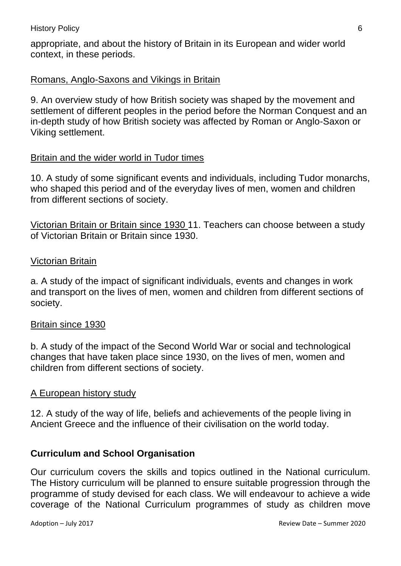appropriate, and about the history of Britain in its European and wider world context, in these periods.

## Romans, Anglo-Saxons and Vikings in Britain

9. An overview study of how British society was shaped by the movement and settlement of different peoples in the period before the Norman Conquest and an in-depth study of how British society was affected by Roman or Anglo-Saxon or Viking settlement.

#### Britain and the wider world in Tudor times

10. A study of some significant events and individuals, including Tudor monarchs, who shaped this period and of the everyday lives of men, women and children from different sections of society.

Victorian Britain or Britain since 1930 11. Teachers can choose between a study of Victorian Britain or Britain since 1930.

#### Victorian Britain

a. A study of the impact of significant individuals, events and changes in work and transport on the lives of men, women and children from different sections of society.

#### Britain since 1930

b. A study of the impact of the Second World War or social and technological changes that have taken place since 1930, on the lives of men, women and children from different sections of society.

#### A European history study

12. A study of the way of life, beliefs and achievements of the people living in Ancient Greece and the influence of their civilisation on the world today.

#### **Curriculum and School Organisation**

Our curriculum covers the skills and topics outlined in the National curriculum. The History curriculum will be planned to ensure suitable progression through the programme of study devised for each class. We will endeavour to achieve a wide coverage of the National Curriculum programmes of study as children move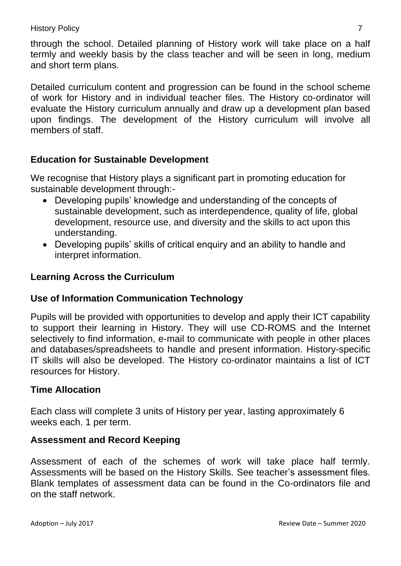through the school. Detailed planning of History work will take place on a half termly and weekly basis by the class teacher and will be seen in long, medium and short term plans.

Detailed curriculum content and progression can be found in the school scheme of work for History and in individual teacher files. The History co-ordinator will evaluate the History curriculum annually and draw up a development plan based upon findings. The development of the History curriculum will involve all members of staff.

## **Education for Sustainable Development**

We recognise that History plays a significant part in promoting education for sustainable development through:-

- Developing pupils' knowledge and understanding of the concepts of sustainable development, such as interdependence, quality of life, global development, resource use, and diversity and the skills to act upon this understanding.
- Developing pupils' skills of critical enquiry and an ability to handle and interpret information.

## **Learning Across the Curriculum**

## **Use of Information Communication Technology**

Pupils will be provided with opportunities to develop and apply their ICT capability to support their learning in History. They will use CD-ROMS and the Internet selectively to find information, e-mail to communicate with people in other places and databases/spreadsheets to handle and present information. History-specific IT skills will also be developed. The History co-ordinator maintains a list of ICT resources for History.

## **Time Allocation**

Each class will complete 3 units of History per year, lasting approximately 6 weeks each. 1 per term.

## **Assessment and Record Keeping**

Assessment of each of the schemes of work will take place half termly. Assessments will be based on the History Skills. See teacher's assessment files. Blank templates of assessment data can be found in the Co-ordinators file and on the staff network.